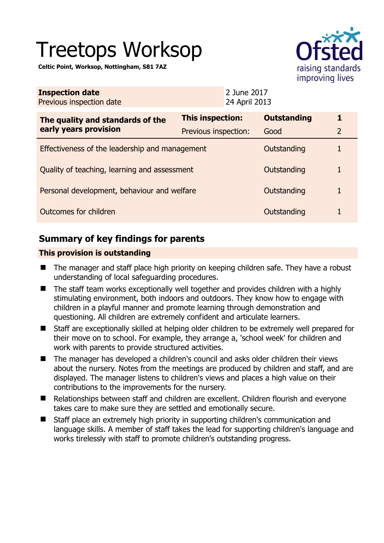# Treetops Worksop

**Celtic Point, Worksop, Nottingham, S81 7AZ** 



|                                                | <b>Outstanding</b>                              | 1                                                                                        |
|------------------------------------------------|-------------------------------------------------|------------------------------------------------------------------------------------------|
|                                                | Good                                            | $\overline{2}$                                                                           |
| Effectiveness of the leadership and management |                                                 |                                                                                          |
| Quality of teaching, learning and assessment   |                                                 |                                                                                          |
| Personal development, behaviour and welfare    |                                                 | 1                                                                                        |
| Outcomes for children                          |                                                 |                                                                                          |
|                                                | <b>This inspection:</b><br>Previous inspection: | 2 June 2017<br>24 April 2013<br>Outstanding<br>Outstanding<br>Outstanding<br>Outstanding |

# **Summary of key findings for parents**

## **This provision is outstanding**

- The manager and staff place high priority on keeping children safe. They have a robust understanding of local safeguarding procedures.
- The staff team works exceptionally well together and provides children with a highly stimulating environment, both indoors and outdoors. They know how to engage with children in a playful manner and promote learning through demonstration and questioning. All children are extremely confident and articulate learners.
- Staff are exceptionally skilled at helping older children to be extremely well prepared for their move on to school. For example, they arrange a, 'school week' for children and work with parents to provide structured activities.
- The manager has developed a children's council and asks older children their views about the nursery. Notes from the meetings are produced by children and staff, and are displayed. The manager listens to children's views and places a high value on their contributions to the improvements for the nursery.
- Relationships between staff and children are excellent. Children flourish and everyone takes care to make sure they are settled and emotionally secure.
- Staff place an extremely high priority in supporting children's communication and language skills. A member of staff takes the lead for supporting children's language and works tirelessly with staff to promote children's outstanding progress.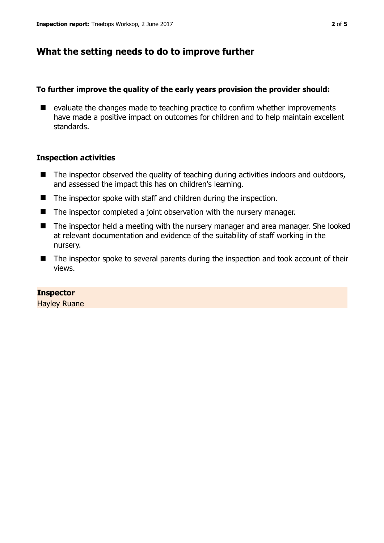# **What the setting needs to do to improve further**

### **To further improve the quality of the early years provision the provider should:**

 $\blacksquare$  evaluate the changes made to teaching practice to confirm whether improvements have made a positive impact on outcomes for children and to help maintain excellent standards.

## **Inspection activities**

- $\blacksquare$  The inspector observed the quality of teaching during activities indoors and outdoors, and assessed the impact this has on children's learning.
- The inspector spoke with staff and children during the inspection.
- The inspector completed a joint observation with the nursery manager.
- The inspector held a meeting with the nursery manager and area manager. She looked at relevant documentation and evidence of the suitability of staff working in the nursery.
- The inspector spoke to several parents during the inspection and took account of their views.

#### **Inspector**

Hayley Ruane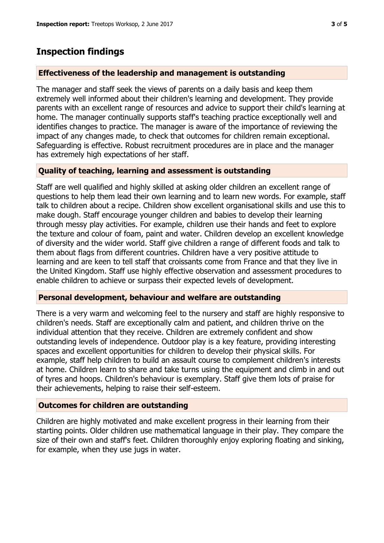## **Inspection findings**

#### **Effectiveness of the leadership and management is outstanding**

The manager and staff seek the views of parents on a daily basis and keep them extremely well informed about their children's learning and development. They provide parents with an excellent range of resources and advice to support their child's learning at home. The manager continually supports staff's teaching practice exceptionally well and identifies changes to practice. The manager is aware of the importance of reviewing the impact of any changes made, to check that outcomes for children remain exceptional. Safeguarding is effective. Robust recruitment procedures are in place and the manager has extremely high expectations of her staff.

#### **Quality of teaching, learning and assessment is outstanding**

Staff are well qualified and highly skilled at asking older children an excellent range of questions to help them lead their own learning and to learn new words. For example, staff talk to children about a recipe. Children show excellent organisational skills and use this to make dough. Staff encourage younger children and babies to develop their learning through messy play activities. For example, children use their hands and feet to explore the texture and colour of foam, paint and water. Children develop an excellent knowledge of diversity and the wider world. Staff give children a range of different foods and talk to them about flags from different countries. Children have a very positive attitude to learning and are keen to tell staff that croissants come from France and that they live in the United Kingdom. Staff use highly effective observation and assessment procedures to enable children to achieve or surpass their expected levels of development.

#### **Personal development, behaviour and welfare are outstanding**

There is a very warm and welcoming feel to the nursery and staff are highly responsive to children's needs. Staff are exceptionally calm and patient, and children thrive on the individual attention that they receive. Children are extremely confident and show outstanding levels of independence. Outdoor play is a key feature, providing interesting spaces and excellent opportunities for children to develop their physical skills. For example, staff help children to build an assault course to complement children's interests at home. Children learn to share and take turns using the equipment and climb in and out of tyres and hoops. Children's behaviour is exemplary. Staff give them lots of praise for their achievements, helping to raise their self-esteem.

#### **Outcomes for children are outstanding**

Children are highly motivated and make excellent progress in their learning from their starting points. Older children use mathematical language in their play. They compare the size of their own and staff's feet. Children thoroughly enjoy exploring floating and sinking, for example, when they use jugs in water.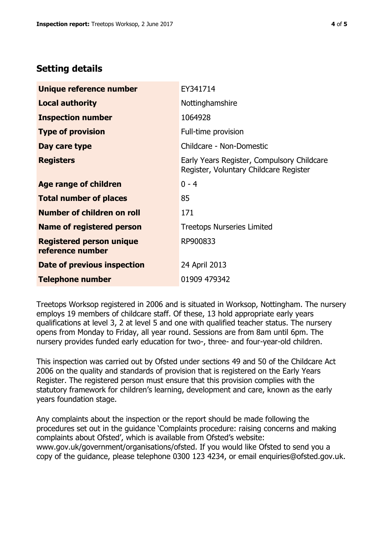# **Setting details**

| Unique reference number                             | EY341714                                                                             |
|-----------------------------------------------------|--------------------------------------------------------------------------------------|
| <b>Local authority</b>                              | Nottinghamshire                                                                      |
| <b>Inspection number</b>                            | 1064928                                                                              |
| <b>Type of provision</b>                            | Full-time provision                                                                  |
| Day care type                                       | Childcare - Non-Domestic                                                             |
| <b>Registers</b>                                    | Early Years Register, Compulsory Childcare<br>Register, Voluntary Childcare Register |
| Age range of children                               | $0 - 4$                                                                              |
| <b>Total number of places</b>                       | 85                                                                                   |
| Number of children on roll                          | 171                                                                                  |
| Name of registered person                           | <b>Treetops Nurseries Limited</b>                                                    |
| <b>Registered person unique</b><br>reference number | RP900833                                                                             |
| Date of previous inspection                         | 24 April 2013                                                                        |
| <b>Telephone number</b>                             | 01909 479342                                                                         |

Treetops Worksop registered in 2006 and is situated in Worksop, Nottingham. The nursery employs 19 members of childcare staff. Of these, 13 hold appropriate early years qualifications at level 3, 2 at level 5 and one with qualified teacher status. The nursery opens from Monday to Friday, all year round. Sessions are from 8am until 6pm. The nursery provides funded early education for two-, three- and four-year-old children.

This inspection was carried out by Ofsted under sections 49 and 50 of the Childcare Act 2006 on the quality and standards of provision that is registered on the Early Years Register. The registered person must ensure that this provision complies with the statutory framework for children's learning, development and care, known as the early years foundation stage.

Any complaints about the inspection or the report should be made following the procedures set out in the guidance 'Complaints procedure: raising concerns and making complaints about Ofsted', which is available from Ofsted's website: www.gov.uk/government/organisations/ofsted. If you would like Ofsted to send you a copy of the guidance, please telephone 0300 123 4234, or email enquiries@ofsted.gov.uk.